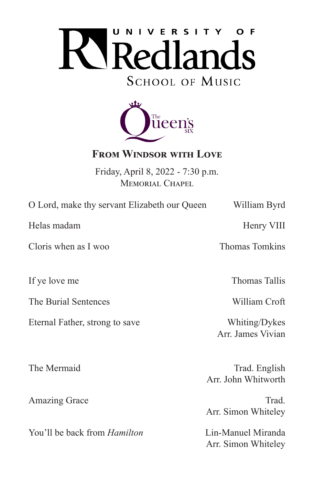



# **From Windsor with Love**

Friday, April 8, 2022 - 7:30 p.m. MEMORIAL CHAPEL

O Lord, make thy servant Elizabeth our Queen William Byrd

Helas madam **Henry VIII** 

Cloris when as I woo Thomas Tomkins

The Burial Sentences William Croft

Eternal Father, strong to save Whiting/Dykes

You'll be back from *Hamilton* Lin-Manuel Miranda

If ye love me Thomas Tallis

Arr. James Vivian

The Mermaid Trad. English Arr. John Whitworth

Amazing Grace Trad. Arr. Simon Whiteley

Arr. Simon Whiteley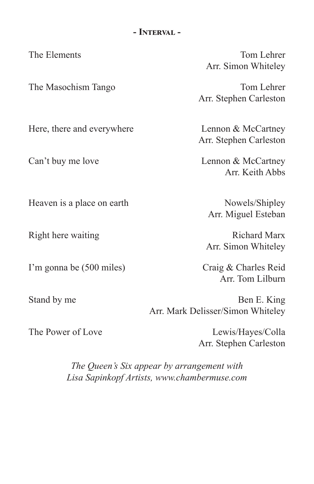#### **- Interval -**

Here, there and everywhere Lennon & McCartney

Heaven is a place on earth Nowels/Shipley

I'm gonna be (500 miles) Craig & Charles Reid

The Elements Tom Lehrer Arr. Simon Whiteley

The Masochism Tango Tom Lehrer Arr. Stephen Carleston

Arr. Stephen Carleston

Can't buy me love Lennon & McCartney Arr. Keith Abbs

Arr. Miguel Esteban

Right here waiting Richard Marx Arr. Simon Whiteley

Arr. Tom Lilburn

Stand by me Ben E. King Arr. Mark Delisser/Simon Whiteley

The Power of Love Lewis/Hayes/Colla Arr. Stephen Carleston

> *The Queen's Six appear by arrangement with Lisa Sapinkopf Artists, www.chambermuse.com*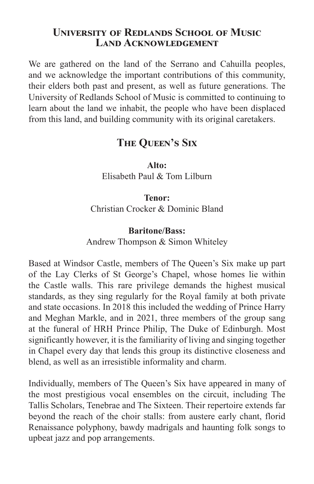### **University of Redlands School of Music Land Acknowledgement**

We are gathered on the land of the Serrano and Cahuilla peoples, and we acknowledge the important contributions of this community, their elders both past and present, as well as future generations. The University of Redlands School of Music is committed to continuing to learn about the land we inhabit, the people who have been displaced from this land, and building community with its original caretakers.

# **The Queen's Six**

**Alto:** Elisabeth Paul & Tom Lilburn

**Tenor:** Christian Crocker & Dominic Bland

### **Baritone/Bass:**

Andrew Thompson & Simon Whiteley

Based at Windsor Castle, members of The Queen's Six make up part of the Lay Clerks of St George's Chapel, whose homes lie within the Castle walls. This rare privilege demands the highest musical standards, as they sing regularly for the Royal family at both private and state occasions. In 2018 this included the wedding of Prince Harry and Meghan Markle, and in 2021, three members of the group sang at the funeral of HRH Prince Philip, The Duke of Edinburgh. Most significantly however, it is the familiarity of living and singing together in Chapel every day that lends this group its distinctive closeness and blend, as well as an irresistible informality and charm.

Individually, members of The Queen's Six have appeared in many of the most prestigious vocal ensembles on the circuit, including The Tallis Scholars, Tenebrae and The Sixteen. Their repertoire extends far beyond the reach of the choir stalls: from austere early chant, florid Renaissance polyphony, bawdy madrigals and haunting folk songs to upbeat jazz and pop arrangements.